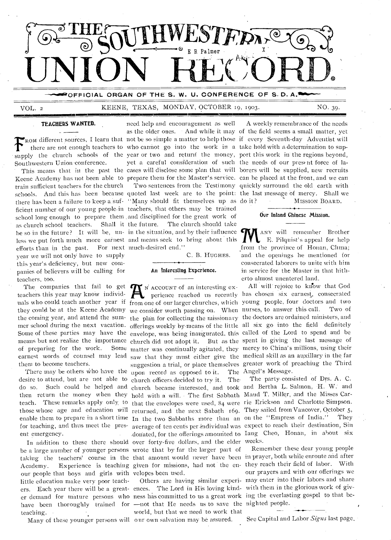

# VOL. 2 KEENE, TEXAS, MONDAY, OCTOBER 19, 1903.

supply the church schools of the year or two and return the money, port this work in the regions beyond, Southwestern Union conference.

Keene Academy has not been able to prepare them for the Master's service. can be placed at the front, and we can train sufficient teachers for the church schools. And this has been because quoted last week are to the point: the last message of mercy. Shall we there has been a failure to keep a suf- "Many should fit themselves up as do it? ficient number of our young people•in teachers, that others may be trained school long enough to prepare them and disciplined for the great work of as church school teachers. Shall it the future. The church should take be so in the future? It will be, un- in the situation, and by their influence  $\epsilon$ less we put forth much more earnest and means seek to bring about this efforts than in the past. For next much-desired end." year we will not only have to supply this year's deficiency, but new companies of believers will be calling for teachers, too.

desire to attend, but are not able to church officers decided to try it. The ent emergency.

be a large number of younger persons wrote that by far the larger part of taking the teachers' course in the that amount would never have been in prayer, both while enroute and after Academy. Experience is teaching given for missions, had not the en-they reach their field of labor. With our people that boys and girls with velopes been used. little education make very poor teachers. Each year there will be a great-ences. The Lord in His loving kind-with them in the glorious work of giver demand for mature persons who ness has committed to us a great work ing the everlasting gospel to that behave been thoroughly trained for —not that He needs us to save the nighted people. teaching. •

Many of these younger persons will our own salvation may be assured.

**FROM different sources**, I learn that not be so simple a matter to help those if every Seventh-day Adventist will<br> **FROM** different sources, I learn that not be so simple a matter to help those if every Seventh-day Advent there are not enough teachers to who cannot go into the work in a take hold with a determination to sup-This means that in the past the cases will disclose some plan that will borers will be supplied, new recruits **TEACHERS WANTED.** need help and encouragement as well as the older ones. - And while it may of the field seems a small matter, yet yet a careful consideration of such the needs of our present force of la-

C. B. HUGHES.

# An Interesting Experience.

The companies that fail to get  $\mathbf{R}$  is account of an interesting exteachers this year may know individently perferied reached us recently There may be others who have the upon record as opposed to it. In addition to these there should over forty-five dollars, and the elder weeks.

world, but that we need 'to work that

A weekly remembrance of the needs Two sentences from the Testimony quickly surround the old earth with MISSION BOARD.

# Our Inland Chinese Mission.

ANY will remember Brother E. Filquist's appeal for help from the province of Honan, China; and the openings he mentioned for consecrated laborers to unite with him in service for the Master in that hitherto almost unentered land.

teachers this year may know individently perience reached us recently has chosen six earnest, consecrated uals who could teach another year if from one of our larger churches, which young people, four doctors and two they could be at the Keene Academy we consider worth passing on. When nurses, to answer this call. Two of the coming year, and attend the sum-the plan for collecting the missionary the doctors are ordained ministers, and mer school during the next vacation. offerings weekly by means of the little all six go into the field definitely Some of these parties may have the envelope, was being inaugurated, this called of the Lord to spend and be means but not realize the importance church did not adopt it. But as the spent in giving the last message of of preparing for the work. Some matter was continually agitated, they mercy to China's millions, using their earnest words of counsel may lead saw that they must either give the medical skill as an auxillary in the far them to become teachers. suggestion a trial, or place themselves greater work of preaching the Third All will rejoice to know that God The Angel's Message.

do so. Such could be helped and church became interested, and took and Bertha L. Salmon, H. W. and then return the money when they hold with a will. The first Sabbath Maud T. Miller, and the Misses Carteach. These remarks apply only to that the envelopes were used, 84 were rie Erickson and Charlotte Simpson. those whose age and education will returned, and the next Sabath 169. They sailed from Vancover, October 5, enable them to prepare in a short time In the two Sabbaths more than an on the "Empress of India." They for teaching, and thus meet the pres- average of ten cents per individual was expect to reach their destination, Sin The party consisted of Drs. A. C. donated, for the offerings amounted to lang Cheo, Honan, in about six

> Others are having similar experi-may enter into their labors and share Remember these dear young people our prayers and with our offerings we

> > See Capital and Labor Signs last page.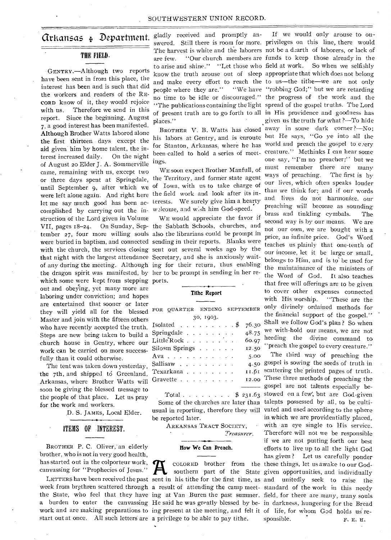# THE FIELD.

GENTRY.—Although two reports have been sent in from this place, the interest has been and is such that did the workers and readers of the RE-CORD know of it, they would rejoice with us. Therefore we send in this report. Since the beginning, August 7, a good interest has been manifested. Although Brother Watts labored alone the first thirteen days except the aid given him by home talent, the interest increased daily. On the night of August 20 Elder J. A. Sommerville came, remaining with us, except two or three days spent at Springdale, until September 9, after which we of Iowa, with us to take charge of were left alone again. And right here the field work and look after its inlet me say much good has been ac-terests. We surely give him a hearty complished by carrying out the in-w2lcome, and w:sh him God-speed. struction of the Lord given in Volume VII, pages 18-24. On Sunday, Sep-the Sabbath Schools, churches, and tember 27, four more willing souls also the librarians could be prompt in were buried in baptism, and connected sending in their reports. Blanks were with the church, the services closing sent out several weeks ago by the that night with the largest attendance Secretary, and she is anxiously waitof any during the meeting. Although ing for their return, thus enabling the dragon spirit was manifested, by her to be prompt in sending in her rewhich some were kept from stepping ports. out and obeying, yet many more are laboring under conviction; and hopes are entertained that sooner or later they will yield all for the blessed Master and join with the fifteen others who have recently accepted the truth. Steps are new being taken to build a church house in Gentry, where our work can be carried on more successfully than it could otherwise.

The tent was taken down yesterday, the 7th, and shipped to Greenland, Arkansas, where Brother Watts will soon be giving the blessed message to the people of that place. Let us pray for the work and workers.

D. S. JAMES, Local Elder.

# ITEMS OF INTEREST.

BROTHER P. C. Oliver, an elderly brother, who is not in very good health, has started out in the colporteur work, canvassing for "Prophecies of Jesus."

work and are making preparations to ing present at the meeting, and felt it of life, for whom God holds us restart out at once. All such letters are a privilege to be able to pay tithe.

**Arkansas**  $\oint$  **Department.**  $g$ ladly received and promptly anplaces."

> for Stanton, Arkansas, where he has world and preach the gospel to every ings.

WE soon expect Brother Manfull, of the Territory, and former state agent

WE would appreciate the favor if

# **Tithe Report**

| FOR OUARTER ENDING                  |  |  |  |           |  |  | SEPTEMBER |
|-------------------------------------|--|--|--|-----------|--|--|-----------|
|                                     |  |  |  | 30, 1903. |  |  |           |
| Isolated $\frac{1}{2}$              |  |  |  |           |  |  | 76.30     |
| Springdale                          |  |  |  |           |  |  | 48.75     |
| Little Rock                         |  |  |  |           |  |  | 60.97     |
| Siloam Springs $\ldots$ $\ldots$    |  |  |  |           |  |  | 12.50     |
| Ava                                 |  |  |  |           |  |  | 5.00      |
| Sallisaw $\ldots$ $\ldots$ $\ldots$ |  |  |  |           |  |  | 4.50      |
| Texarkana                           |  |  |  |           |  |  | 11.61     |
| Gravette                            |  |  |  |           |  |  | 12.00     |
|                                     |  |  |  |           |  |  |           |

Total  $\ldots$   $\uparrow$   $\uparrow$   $\uparrow$   $\uparrow$   $\uparrow$   $\uparrow$   $\uparrow$   $\uparrow$   $\uparrow$   $\uparrow$   $\uparrow$   $\uparrow$   $\uparrow$   $\uparrow$   $\uparrow$   $\uparrow$   $\uparrow$   $\uparrow$   $\uparrow$   $\uparrow$   $\uparrow$   $\uparrow$   $\uparrow$   $\uparrow$   $\uparrow$   $\uparrow$   $\uparrow$   $\uparrow$   $\uparrow$   $\uparrow$   $\uparrow$   $\uparrow$   $\uparrow$   $\uparrow$   $\uparrow$ Some of the churches are later than usual in reporting, therefore they will be reported later.

ARKANSAS TRACT SOCIETY, Treasurer.

# **Row We Can Preach.**

*A*

swered. Still there is room for more. privileges on this line, there would The harvest is white and the laborers not be a dearth of laborers, or lack of are few. "Our church members are funds to keep those already in the to arise and shine." "Let those who field at work. So when we selfishly know the truth arouse out of sleep appropriate that which does not belong and make every effort to reach the to us—the tithe—we are not only people where they are." "We have "robbing God;" but we are retarding no time to be idle or discouraged." the progress of the work and the "The publications containing the light spread of the gospel truths. The Lord of present truth are to go forth to all in His providence and goodness has BROTHER V. B. Watts has closed away in some dark corner ?—No; his labors at Gentry, and is enroute but He says, "Go ye into all the been called to hold a series of meet- creature." Methinks I can hear some If we would only arouse to ougiven us the truth for what ?—To hide one say, "I'm no preacher;" but we must remember there are many ways of preaching. The first is by our lives, which often speaks louder than we think for; and if our words and Eves do not harmonize, our preaching will become as sounding brass and tinkling cymbals. The second way is by our means. We are not our own, we are bought with a price, an infinite price. God's Word teaches us plainly that one-tenth of our income, let it be large or small, belongs to Him, and is to be used for the maintainance of the ministers of the Word of God. It also teaches that free will offerings are to be given to cover other expenses connected<br>with His worship. "These are the "These are the only divinely ordained methods for the financial support of the gospel." Shall we follow God's plan ? So when we with-hold our means, we are not heeding the divine command to "preach the gospel to every creature."

LETTERS have been received the past sent in his tithe for the first time, as and unitedly seek to raise the week from brethren scattered through a result of attending the camp meet- standard of the work in this needy the State, who feel that they have ing at Van Buren the past summer. field, for there are many, many souls a burden to enter the canvassing He said he was greatly blessed by be- in darkness, hungering for the Bread COLORED brother from the these things, let us awake to our Godsouthern part of the State given opportunities, and individually The third way of preaching the gospel is sowing the seeds of truth in scattering the printed pages of truth\_ These three methods of preaching the gospel are not talents especially bestowed on a few', but are God-given talents possessed by all, to be cultivated and used according to the sphere in which we are providentially placed, with • an eye single to His service. Therefore will not we be responsible if we are not putting forth our best efforts to live up to all the light God has given? Let us 'carefully ponder sponsible.  $F. E. H.$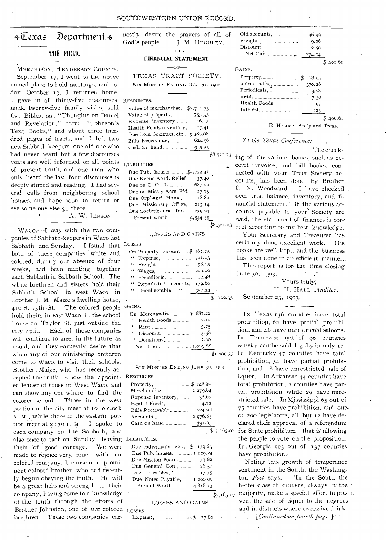# $\div \overline{\mathbb{C}}$ exas Department. $\div$

# 111E FIELD.

MERCHISON, HENDERSON COUNTY. -September 17, I went to the above named place to hold meetings, and today, October 19, I returned home. I gave in all thirty-five discourses, RESOURCES. made twenty-five, family visits, sold five Bibles, one "Thoughts on Daniel and Revelation," three "Johnson's Text Books," and about three hundred pages of tracts, and I left two new Sabbath-keepers, one old one who had never heard but a few discourses years ago well informed on all points LIABILITIES. of present truth, and one man who only heard the last four discourses is deeply stirred and reading. I had several calls from neighboring school houses, and hope soon to return or see some one else go there.

A. W. JENSON.

cepted the truth, is now the appoint- RESOURCES. also once to each on Sunday, leaving LIABILITIES. Brother Johnston, one of our colored LOSSES. WACO.-I was with the two companies of Sabbath-keepers in Waco last Sabbath and Sunday. I found that LOSSES. both of these: companies, white and colored, during our absence of four weeks, had been meeting together each Sabbath in Sabbath School. The white brethren and sisters hold their Sabbath School in west Waco in Brother J. M. Maize's dwelling house, 416 S. 13th -St. The colored people GAINS. hold theirs in east Waco in the school house on Taylor St. just outside the city limit. Each of these companies will continue to meet in the future as usual, and they earnestly desire that when any of our ministering brethren come to Waco, to visit their schools. Brother . Maize, who has recently ac-, ed leader of those in West Waco, and can show any one where to find the colored school. Those in the west portion of the city meet at to o'clock A. M., while those in the eastern portion meet at  $2:30$  P. M. I spoke to each company on the Sabbath, and them of good courage. We were made to rejoice very much with our colored company, because of a prominent colored brother, who had recently begun obeying the truth. He will be a great help and strength to their company, having come to a knowledge of the truth through the efforts of brethren. These two companies ear-

God's people. J. M. HUGULEY. nestly desire the prayers of all of

### **FINANCIAL STATEMENT**

 $-$ OF-

TEXAS TRACT SOCIETY, SIX MONTHS ENDING DEC. 31, 1902.

| Value of merchandise, \$2,711.73      |              |
|---------------------------------------|--------------|
| Value of property, $\ldots$ 755.35    |              |
| $16.15^{\circ}$<br>Expense inventory, | $\sim$       |
| Health Foods inventory,<br>17.41      |              |
| Due from Societies, etc., 3,480.08    |              |
| 624.98<br>Bills Receivable,           |              |
|                                       |              |
|                                       | $\mathbf{r}$ |

| .                           |            |
|-----------------------------|------------|
| Due Pub. houses, \$2,752.41 |            |
| Due Keene Acad. Relief,     | 37.40      |
| Due on C. O. $L$            | 687.20     |
| Due on Miss'y Acre F'd      | 27.75      |
| Due Orphans' Home,          | 18.80      |
| Due Missionary Off'gs,      | 213.14     |
| Due Societies and Ind.,     | 239.94     |
| Present worth, 4,544.59     |            |
|                             | \$8,521.23 |
|                             |            |

#### LOSSES AND GAINS.

| On Property account,\$ 167.75 |            |
|-------------------------------|------------|
|                               |            |
|                               |            |
|                               | 200.00     |
| " Periodicals,                | 12.48      |
| " Repudiated accounts,        | 179.80     |
| $\ddotsc$<br>" Uncollectable  | 350.24     |
|                               | \$1,709.35 |

| On Merchandise, $$687.22$ . |         |
|-----------------------------|---------|
| '' Health Foods,……………       | 2.12    |
|                             | 5.75    |
|                             | 3.38    |
|                             | - 7.00  |
|                             |         |
|                             | \$1,709 |

Six MONTHS ENDING JUNE 30, 1903.

| Property, 200 $$748.40$ |                                   |
|-------------------------|-----------------------------------|
|                         |                                   |
| Expense inventory,      | 38.65                             |
|                         | 4.72                              |
| Bills Receivable,       | $\sim$<br>$\sim$ $\sim$<br>724.98 |
| Accounts, 2.976.85      |                                   |
|                         | 391.63                            |

| Due Individuals, etc., $$$ 139.63 |  |
|-----------------------------------|--|
| Due Pub. houses, 1,129.24         |  |
| 33.82<br>Due Mission Board        |  |
| 26.50<br>Due General Con          |  |
| Due "Parables,"<br>17.75          |  |
| Due Notes Payable, 1,000 00       |  |
| Present Worth, 4,818.13           |  |
|                                   |  |

LOSSES AND GAINS.

Expense,  $$ 77.82.$ 

| Old accounts, | 36.99`<br>9.26<br>2.50<br>274.04 |        |
|---------------|----------------------------------|--------|
|               |                                  | 400.61 |
| GAINS.        |                                  |        |
|               | 18.05                            |        |
| Merchandise,  | 370.26                           |        |
| Periodicals,  | 3.58                             |        |
|               | 7.50                             |        |
| Health Foods, | . 97                             |        |
|               | .25                              |        |
|               |                                  |        |

E. HARRIS, Sec'y and Treas.

### To the Texas Conference:-

The check-

\$8,521.23 ing of the various books, such as receipt, · invoice, and bill books, connected with your Tract Society accounts, has been done by Brother C. N. Woodward. I have checked over trial balance, inventory, and financial statement. If the various accounts payable to your Society are paid, the statement of finances is correct according to my best knowledge.

Your Secretary and Treasurer has certainly done excellent work. His hooks are well kept, and, the business has been done in an efficient manner...

This report is for- the time closing June 30, 1903.

> Yours truly; . H. H. HALL, *Auditor.*

# September 23, 1903..

 $\overline{\$}$ 1,709.35 In Kentucky 47 counties have total 7,165.07 for State prohibition-that is allowing IN Texas 136 counties have total prohibition, 62 have partial prohibition, and 46 have unrestricted saloons. In Tennessee out of 96' counties whisky can be sold legally in only 12. prohibition, 54 have partial prohibition, and 18 have unrestricted sale of liquor. In Arkansas 44 counties have total prohibition, 2 counties have partial prohibition, while 29 have mirestricted sale. In Mississippi 65 out of 75 counties have prohibition, and out of 200 legislators, all but 12 have declared their approval of a referendum the people'to vote on the proposition. In: Georgia 103 out of 137 counties have prohibition.'

 $\frac{1}{27,165}$  o7 majority, make a special effort to pre-Noting this growth of temperance sentiment in the South, the Washington *Post* says: "In the South the better class of citizens, always in the vent the sale of liquor to the negroes and in districts where excessive drink-

., *[Conlinned on \_fourth page:] ::*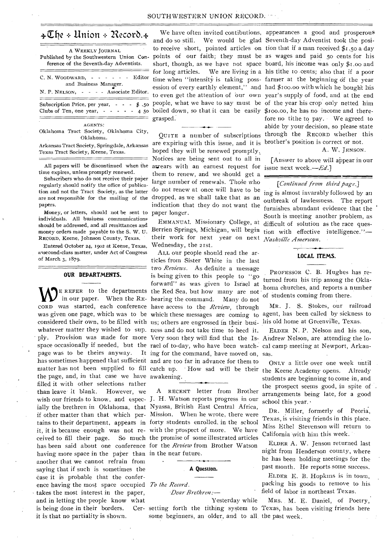|  |  |  | $\triangle\mathbb{C}$ he + Union + Record. $\triangle\mathbb{C}$ |
|--|--|--|------------------------------------------------------------------|
|--|--|--|------------------------------------------------------------------|

| A WEEKLY JOURNAL<br>Published by the Southwestern Union Con-<br>ference of the Seventh-day Adventists.                   |
|--------------------------------------------------------------------------------------------------------------------------|
| C. N. WOODWARD, - - - - - - Editor<br>and Business Manager.<br>N. P. NELSON, - - - - Associate Editor.                   |
| Subscription Price, per year, $\cdot$ $\cdot$ $\cdot$ $\cdot$ $\cdot$ $\cdot$ 50<br>Clubs of Ten, one year, $- - - - 45$ |
| <b>AGENTS:</b>                                                                                                           |

Oklahoma Tract Society, Oklahoma City, Oklahoma.

Arkansas Tract Society, Springdale, Arkansas Texas Tract Society, Keene, Texas.

All papers will be discontinued when the time expires, unless promptly renewed.

Subscribers who do not receive their paper regularly should notify the office of publication and not the Tract Society, as the latter are not responsible for the mailing of the papers.

Money, or letters, should not be sent to individuals. All business communications should be addressed, and all remittances and money orders made payable to the S. W. U. RECORD, Keene, Johnson County, Texas.

Entered October 24, 1902 at Keene, Texas, assecond-class matter, under Act of Congress of March 3, 1879.

### OUR DEPARTMENTS.

 $\sum_{i=1}^{n} E_{i}$  REFER to the departments in our paper. When the REconsidered their own, to be filled with us; others are engrossed in their busimatter has not been supplied to fill catch up. the page, and, in that case we have awakening. filled it with other selections rather than leave it blank. However, we wish our friends to know, and espec-J. H. Watson reports progress in our ially the brethren in Oklahoma, that Nyassa, British East Central Africa, if other matter than that which per-Mission. When he wrote, there were tains to their department, appears in forty students enrolled, in the school it, it is because enough was not re-with the prospect of more. We have ceived to fill their page. So much the promise of some illustrated articles has been said about one conference for the *Review* from Brother Watson having more space in the paper than in the near future. another that we cannot refrain from saying that if such is sometimes the case it is probable that the conference having the most space occupied *To the Record.*  takes the most interest in the paper, and in letting the people know what is being done in their borders. it is that no partiality is shown.

We have often invited contibutions, appearances a good and prosperous boiled down, so that it can be easily \$100.00, he has no income and theregrasped.

are expiring with this issue, and it is brother's position is correct or not. hoped they will be renewed promptly. Notices are being sent out to all in arrears with an earnest request for issue next week. $-Ed$ . them to renew, and we should get a large number of renewals. Those who do not renew at once will have to be dropped, as we shall take that as an indication that they do not want the paper longer.

EMMANUAL Missionary College, at Berrien Springs, Michigan, will begin their work for next year on next Wednesday, the 21st.

CORD was started, each conference have access to the *Review,* through was given one page, which was to be which these messages are coming to whatever matter they wished to sup. ness and do not take time to heed it. ply. Provision was made for more Very soon they will find that the Is-Andrew Nelson, are attending the lospace occasionally if needed, but the rael of to-day, who have been watch-cal camp meeting at Newport, Arkanpage was to be theirs anyway. It ing for the command, have moved on, sas. has sometimes happened that sufficient and are too far in advance for them to ALL our people should read the articles from Sister White in the last two *Reviews.* As definite a message is being given to this people to "go forward" as was given to Israel at the Red Sea, but how many are not hearing the command. Many do not

A RECENT letter from Brother

#### A Question.

*Dear lirethren.—* 

*Yesterday* while setting forth the tithing system to Texas, has been visiting friends here some beginners, an older, and to all. the past week.

and do so still. We would be glad Seventh-day Adventist took the posito receive short, pointed articles on tion that if a man received \$1.50 a day points of our faith; they must be as wages and paid 5o cents for his short, though, as we have not space board, his income was only \$1.00 and for long articles. We are living in a his tithe io cents; also that if a poor time when "intensity is taking poss- farmer at the beginning of the year ession of every earthly element," and had \$100.00 with which he bought his to even get the attention of our own year's supply of food, and at the end people, what we have to say must be of the year his crop only netted him QUITE a number of subscriptions through the RECORD whether this fore no tithe to pay. We agreed to abide by your decision, so please state

A. W, JENSON.

[Answer to above will appear in our

## *[Continued from third page.]*

ing is almost invarably followed by an outbreak of lawlessness. The report furnishes, abundant evidence that the South is meeting another problem, as difficult of solution as the race question with effective intelligence."-*Nashville American. •* 

#### LOCAL ITEMS.

PROFESSOR C. B. Hughes has returned from his trip among the Oklahoma churches, and reports a number of students coming from there.

MR. J. S. Stokes, our railroad agent, has been called by sickness to his old home at Greenville, Texas.

ELDER N. P. Nelson and his son,

catch up. How sad will be their the Keene Academy opens. Already ONLY a little over one week until students are beginning to come in, and the prospect seems good, in spite of . arrangements being late, for a good school this year. •

> DR. Miller, formerly of Peoria, Texas, is visiting friends in this place. Miss Ethel Stevenson will return to California with him this week. •

> ELDER A. W. Jenson returned last night from Henderson county, where he has been holding meetings for the past month. He reports some success.

> ELDER E. B. Hopkins is in town, packing his goods to remove to his field of labor in northeast Texas.

MRS.. M. E. Daniel, of Poetry,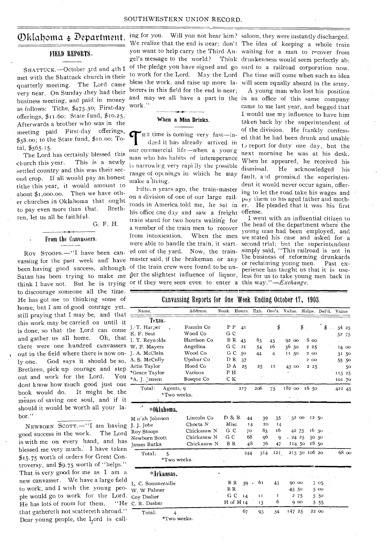# FIELD REPORTS.

SHATTUCK. -- October 3rd and 4th I met with the Shattuck church in their quarterly meeting. The Lord came very near. On Sunday ,they had their business meeting, and paid in money as follows: Tithe, \$475.30; First-day offerings, \$11.60; State fund, \$10.25. Afterwards a brother who was in the meeting paid First-day offerings, \$58.00; to the State fund, \$10.00; Total, \$565.15.

The Lord has certainly blessed this church this year. This is a newly settled country and this was their second crop. If all would pay an honest tithe this year, it would amount to about \$1,00o.00. Then we have other churches in Oklahoma that ought<br>to pay even more than that. Brethto pay even more than that. ren, let us all he faithful.

G. F. H.

# From the Canvassers.

Roy STOOPS.--"I have been canvassing for the past week and have been having good success, although of the train crew were found to be unthink I have not. But he is trying or if they were seen even to enter a this *way."—Exchange.*  to discourage someone all the time. He has got me to thinking some of home, but I am of good courage yet, still praying that I may be, and that this work may be carried on until it is done, so that the Lord can come and gather us all home. Oh, that there were one hundred canvassers out in the field where there is now only one. God says it should be so. Brethren, pick up courage and step out and work for the Lord. You dont know how much good just one book would do. It might be the means of saving one soul, and if it should it would be worth all your labor."

NEWBORN SCOTT.—"I am having good success in the work. The Lord is with me on every hand, and has blessed me very much. I have taken \$15.75 worth of orders for Great Controversy, and \$9.75 worth of "helps." That is very good for me as I am a new canvasser. We have a large field to work, and I wish the young people would go to work for the Lord. He has lots of room for them. "He that gathereth not scattereth abroad." Dear young people, the Lord is call-

 $\mathcal{D}$ klahoma  $\ast$  Department. ing for you. Will you not hear him? saloon, they were instantly discharged. We realize that the end is near; don't The idea of keeping a whole train you want to help carry the Third An-waiting.for a man to recover from gel's message to the world? Think drunkenness would seem perfectly abof the pledge you have signed and go surd to a railroad corporation now. to work for the Lord. May the Lord fhe time will come when such an idea bless the work, and raise up more la-will seem equally absurd in the army. borers in this field for the end is near; and may we all have a part in the in an office of this same company work.

# When a Man Drinks.

TH<sup>2</sup> time is coming very fast—indeed it has already arrived in our commercial life—when a yourg  $H^2$  as time is coming very fast—indeed it has already arrived in man who has habits of intemperance i3 narrowing very rapilly the possible range of openings in which he may make a living.

Satan has been trying to make me der the slightest influence of liquor, less for us to take young men back in Pifte,n years ago, the train-master on a division of one of our large railroads in America told me, he sat in his office one day and saw a freight train stand for two hours waiting for a number of the train men to recover from intoxication. When the men were able to handle the train, it started out of the yard. Now, the trainmaster said, if the brakeman or any

A young man who lost his position came to me last year, and begged that I would use my influence to have him taken back by the superintendent of of the division. He frankly confessed that he had been drunk and unable to report for duty one day, but the next morning he was at his desk. When he appeared, he received his dismissal. He acknowledged his fault, and promised the superintendent it would never occur again, offering to let the road take his wages and pay them to his aged father and moth-He pleaded that it was his first offense.

I went with an influential citizen to the head of the department where the young man had been employed, and we stated his case and asked for a second trial; but the superintendent simply said, "This railroad-is not in the business of reforming drunkards<br>or reclaiming young men. Past exor reclaiming young men. perience has taught us that it is use-

# Canvassing Reports for One Week Ending October 17, 1903.

| Name                                 | Address.               | Book. Hours. Exh. Ord's. Value. Helps. Del'd. |     |                           |     |                  |               |              | Value  |           |
|--------------------------------------|------------------------|-----------------------------------------------|-----|---------------------------|-----|------------------|---------------|--------------|--------|-----------|
| Texas -                              |                        |                                               |     |                           |     |                  |               |              |        |           |
| I. T. Harper                         | Fannin Co              | P P                                           | 41  |                           | \$  |                  | \$            | \$<br>$\sim$ | 54 25  |           |
| E. F. Seat                           | Wood Co                | GC.                                           |     |                           |     |                  |               |              |        | 52 75     |
| I. T. Reynolds                       | Harrison Co            | <b>BR</b>                                     | 43  | 83                        | 43  | 92 00            | $8\,\omega$   |              |        |           |
| W. F. Mayers                         | Angelina               | G C                                           | 2I  | 54                        | 16  | 36 50            | 225           |              |        | 14 00     |
| J. A. McClain                        | Wood Co                | G C                                           | 50  | 44                        | 4   | II 50            | 2 00          |              | 31 50  |           |
| A.S. McCully                         | Upshur Co              | D R                                           | 37  |                           |     |                  | 2 00          |              |        | 55 50     |
| Artie Taylor                         | Hood Co                | D A                                           | 25  | 25                        | IJ  | 43 00            | 2 2 5         |              |        | 50        |
| *Grace Taylor                        | Various                | PH                                            |     |                           |     |                  |               |              | 115 25 |           |
| *A. J. Jensen                        | Bosque Co              | C K                                           |     |                           |     |                  |               |              | 101 70 |           |
| Total:<br>Agents, 9<br>*Two weeks.   |                        |                                               | 217 | 206                       | 75  | 18200            | 16 50         |              | 422 45 |           |
| şŧ.<br>*0klahoma.                    |                        |                                               |     |                           |     |                  |               |              |        |           |
| M it ah Johnson                      | Lincoln Co             | D & R                                         | 44  | 39                        | 35  | 3200             |               | 12 50        |        |           |
| J. J. Jobe                           | Chocta N               | Misc                                          | 14  | 20                        | 14  |                  |               |              |        |           |
| Roy Stoops                           | Chickasaw <sub>N</sub> | G C                                           | 70  | 83                        | 16  | 42 75            |               | $16 - 50$    |        |           |
| Newborn Scott                        | Chickasaw N            | G C                                           | 68  | 96                        | 9   | .2425            |               | 50 50        |        |           |
| James Butka                          | Chickasaw N            | <b>BR</b>                                     | 48  | 76                        | 47  | 114 50           |               | r8 50        |        |           |
| Total:<br>5<br>*Two weeks.           |                        |                                               | 244 | 314                       | 121 |                  | 213 50 106 20 |              |        | $68$ $oo$ |
| *Arkansas.                           |                        |                                               |     |                           |     |                  |               |              |        |           |
| L. C. Sommeraille                    |                        | ΒR                                            | 39  | 61<br>$\hat{\phantom{a}}$ | 43  | 9000             |               | 7 05         |        |           |
| W. W Palmer                          |                        | <b>BR</b>                                     |     |                           |     | 45.50            |               | 500          |        |           |
| Coy Dasher                           |                        | G C                                           | 14  | 11                        | Т   | $\boldsymbol{2}$ | 75            | 550          |        |           |
| C. R. Dasher                         |                        | $H$ of M <sub>14</sub>                        |     | 13                        | 6   | 900              |               | 5 5 5        |        |           |
| Total:<br>$\overline{4}$<br>$*T$ $m$ |                        |                                               | 67  | 93                        | 54  | 14725            |               | 22 00        |        |           |

Two weeks.